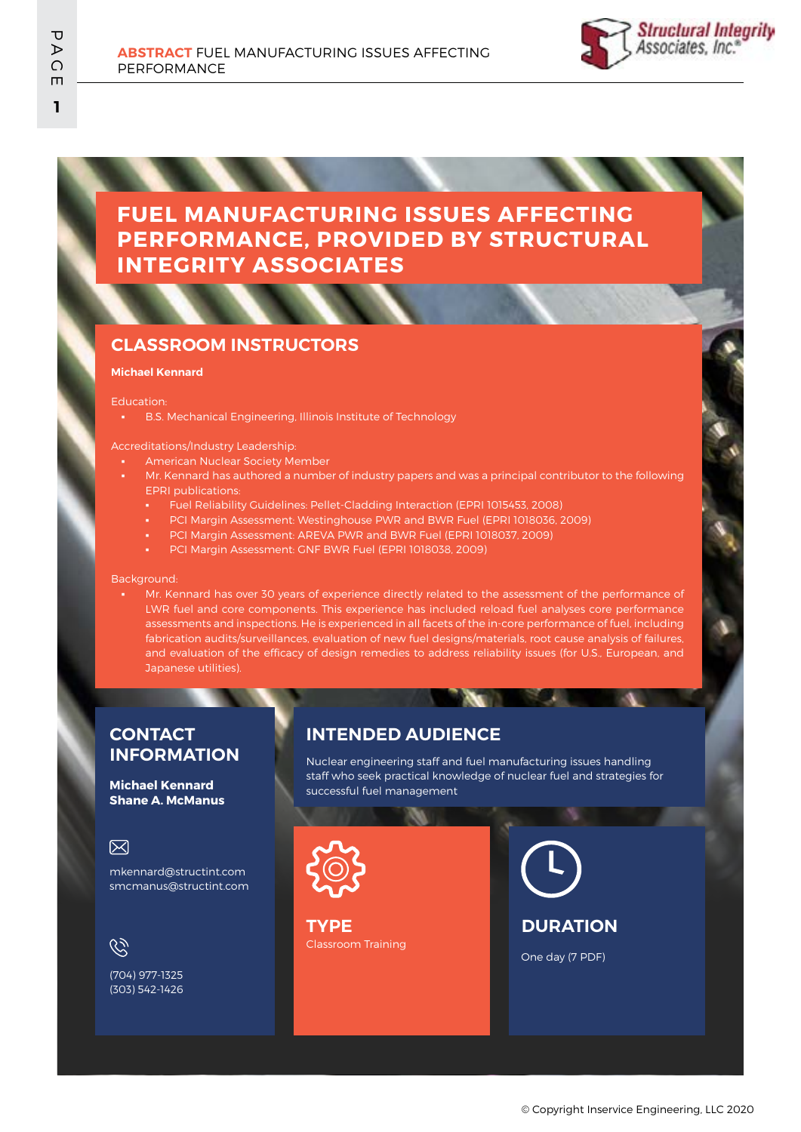# **FUEL MANUFACTURING ISSUES AFFECTING PERFORMANCE, PROVIDED BY STRUCTURAL INTEGRITY ASSOCIATES**

## **CLASSROOM INSTRUCTORS**

#### **Michael Kennard**

Education:

B.S. Mechanical Engineering, Illinois Institute of Technology

#### Accreditations/Industry Leadership:

- **American Nuclear Society Member**
- Mr. Kennard has authored a number of industry papers and was a principal contributor to the following EPRI publications:
	- Fuel Reliability Guidelines: Pellet-Cladding Interaction (EPRI 1015453, 2008)
	- PCI Margin Assessment: Westinghouse PWR and BWR Fuel (EPRI 1018036, 2009)
	- PCI Margin Assessment: AREVA PWR and BWR Fuel (EPRI 1018037, 2009)
	- PCI Margin Assessment: GNF BWR Fuel (EPRI 1018038, 2009)

Background:

Mr. Kennard has over 30 years of experience directly related to the assessment of the performance of LWR fuel and core components. This experience has included reload fuel analyses core performance assessments and inspections. He is experienced in all facets of the in-core performance of fuel, including fabrication audits/surveillances, evaluation of new fuel designs/materials, root cause analysis of failures, and evaluation of the efficacy of design remedies to address reliability issues (for U.S., European, and Japanese utilities).

### **CONTACT INFORMATION**

#### **Michael Kennard Shane A. McManus**

### 冈

mkennard@structint.com smcmanus@structint.com

 $\mathscr{C}$ 

(704) 977-1325 (303) 542-1426

### **INTENDED AUDIENCE**

Nuclear engineering staff and fuel manufacturing issues handling staff who seek practical knowledge of nuclear fuel and strategies for successful fuel management



Classroom Training **TYPE**

**DURATION**

One day (7 PDF)